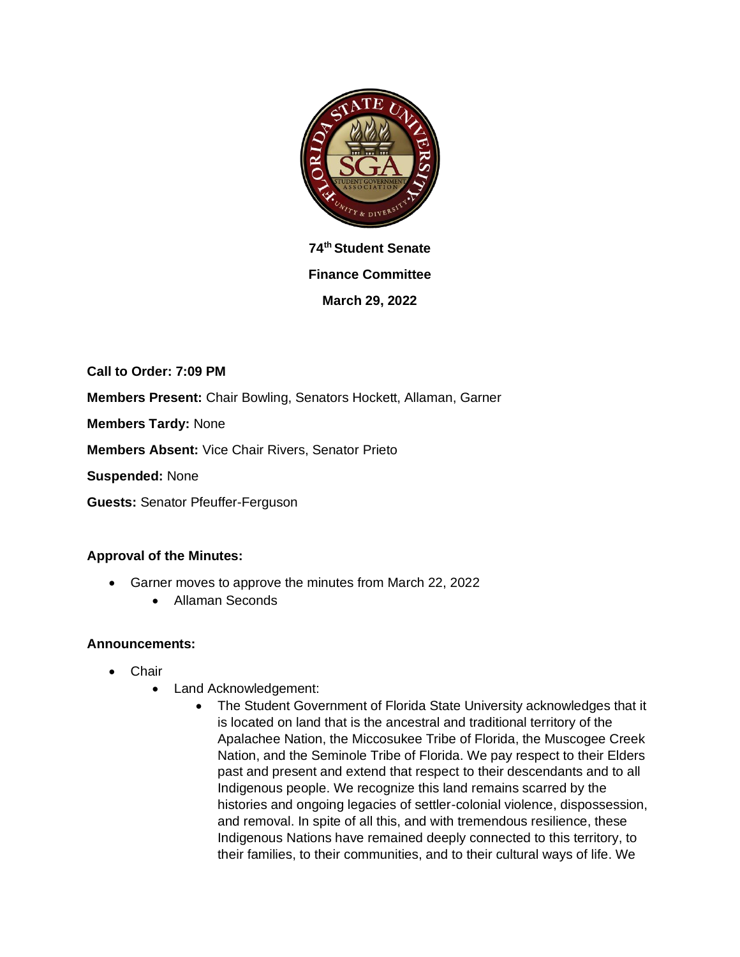

**74th Student Senate Finance Committee March 29, 2022**

**Call to Order: 7:09 PM Members Present:** Chair Bowling, Senators Hockett, Allaman, Garner

**Members Tardy:** None

**Members Absent:** Vice Chair Rivers, Senator Prieto

**Suspended:** None

**Guests:** Senator Pfeuffer-Ferguson

#### **Approval of the Minutes:**

- Garner moves to approve the minutes from March 22, 2022
	- Allaman Seconds

#### **Announcements:**

- Chair
	- Land Acknowledgement:
		- The Student Government of Florida State University acknowledges that it is located on land that is the ancestral and traditional territory of the Apalachee Nation, the Miccosukee Tribe of Florida, the Muscogee Creek Nation, and the Seminole Tribe of Florida. We pay respect to their Elders past and present and extend that respect to their descendants and to all Indigenous people. We recognize this land remains scarred by the histories and ongoing legacies of settler-colonial violence, dispossession, and removal. In spite of all this, and with tremendous resilience, these Indigenous Nations have remained deeply connected to this territory, to their families, to their communities, and to their cultural ways of life. We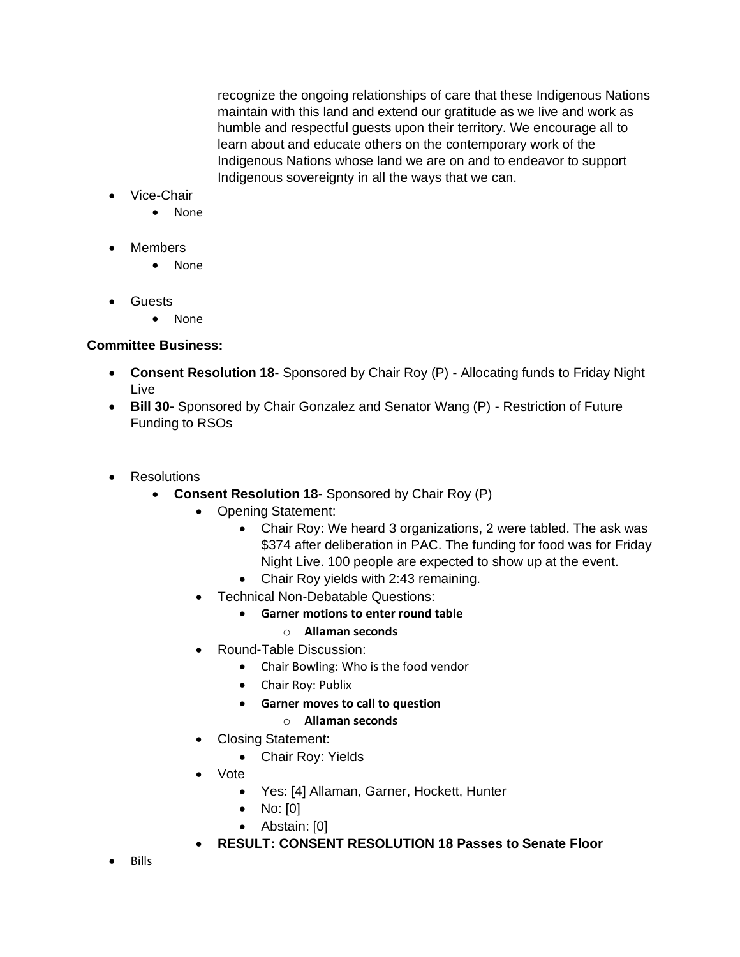recognize the ongoing relationships of care that these Indigenous Nations maintain with this land and extend our gratitude as we live and work as humble and respectful guests upon their territory. We encourage all to learn about and educate others on the contemporary work of the Indigenous Nations whose land we are on and to endeavor to support Indigenous sovereignty in all the ways that we can.

- Vice-Chair
	- None
- Members
	- None
- Guests
	- None

### **Committee Business:**

- **Consent Resolution 18** Sponsored by Chair Roy (P) Allocating funds to Friday Night Live
- **Bill 30-** Sponsored by Chair Gonzalez and Senator Wang (P) Restriction of Future Funding to RSOs
- Resolutions
	- **Consent Resolution 18** Sponsored by Chair Roy (P)
		- Opening Statement:
			- Chair Roy: We heard 3 organizations, 2 were tabled. The ask was \$374 after deliberation in PAC. The funding for food was for Friday Night Live. 100 people are expected to show up at the event.
			- Chair Roy yields with 2:43 remaining.
		- Technical Non-Debatable Questions:
			- **Garner motions to enter round table**
				- o **Allaman seconds**
		- Round-Table Discussion:
			- Chair Bowling: Who is the food vendor
			- Chair Roy: Publix
			- **Garner moves to call to question**

#### o **Allaman seconds**

- Closing Statement:
	- Chair Roy: Yields
	- Vote
		- Yes: [4] Allaman, Garner, Hockett, Hunter
		- No: [0]
		- Abstain: [0]
- **RESULT: CONSENT RESOLUTION 18 Passes to Senate Floor**
- Bills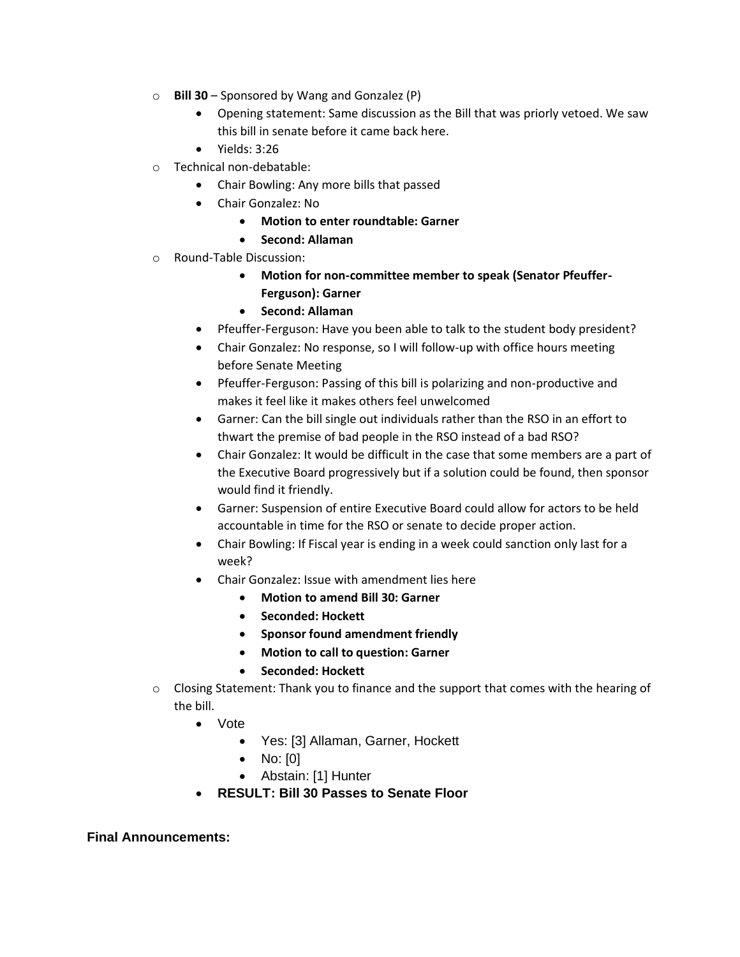- o **Bill 30** Sponsored by Wang and Gonzalez (P)
	- Opening statement: Same discussion as the Bill that was priorly vetoed. We saw this bill in senate before it came back here.
	- Yields: 3:26
- o Technical non-debatable:
	- Chair Bowling: Any more bills that passed
	- Chair Gonzalez: No
		- **Motion to enter roundtable: Garner**
		- **Second: Allaman**
- o Round-Table Discussion:
	- **Motion for non-committee member to speak (Senator Pfeuffer-Ferguson): Garner**
	- **Second: Allaman**
	- Pfeuffer-Ferguson: Have you been able to talk to the student body president?
	- Chair Gonzalez: No response, so I will follow-up with office hours meeting before Senate Meeting
	- Pfeuffer-Ferguson: Passing of this bill is polarizing and non-productive and makes it feel like it makes others feel unwelcomed
	- Garner: Can the bill single out individuals rather than the RSO in an effort to thwart the premise of bad people in the RSO instead of a bad RSO?
	- Chair Gonzalez: It would be difficult in the case that some members are a part of the Executive Board progressively but if a solution could be found, then sponsor would find it friendly.
	- Garner: Suspension of entire Executive Board could allow for actors to be held accountable in time for the RSO or senate to decide proper action.
	- Chair Bowling: If Fiscal year is ending in a week could sanction only last for a week?
	- Chair Gonzalez: Issue with amendment lies here
		- **Motion to amend Bill 30: Garner**
		- **Seconded: Hockett**
		- **Sponsor found amendment friendly**
		- **Motion to call to question: Garner**
		- **Seconded: Hockett**
- $\circ$  Closing Statement: Thank you to finance and the support that comes with the hearing of the bill.
	- Vote
		- Yes: [3] Allaman, Garner, Hockett
		- No: [0]
		- Abstain: [1] Hunter
	- **RESULT: Bill 30 Passes to Senate Floor**

**Final Announcements:**